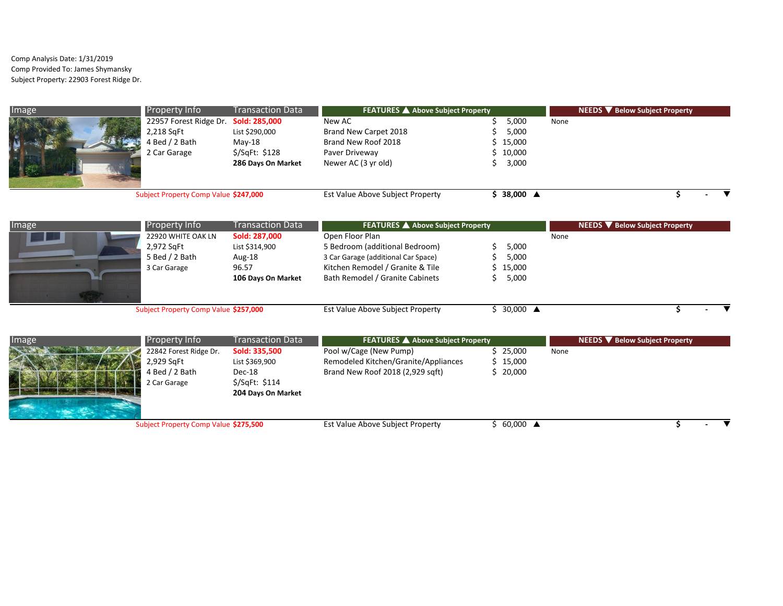Comp Analysis Date: 1/31/2019 Comp Provided To: James Shymansky Subject Property: 22903 Forest Ridge Dr.

| Image | <b>Property Info</b>                  | <b>Transaction Data</b> | FEATURES A Above Subject Property |          | NEEDS V Below Subject Property |
|-------|---------------------------------------|-------------------------|-----------------------------------|----------|--------------------------------|
|       | 22957 Forest Ridge Dr. Sold: 285,000  |                         | New AC                            | 5,000    | None                           |
|       | 2,218 SqFt                            | List \$290,000          | Brand New Carpet 2018             | 5,000    |                                |
|       | 4 Bed / 2 Bath                        | $Mav-18$                | Brand New Roof 2018               | \$15,000 |                                |
|       | 2 Car Garage                          | $$$ /SqFt: \$128        | Paver Driveway                    | \$10,000 |                                |
|       |                                       | 286 Days On Market      | Newer AC (3 yr old)               | 3,000    |                                |
|       | Subject Property Comp Value \$247,000 |                         | Est Value Above Subject Property  | 38,000 ▲ |                                |

| Image | <b>Property Info</b>                                               | <b>Transaction Data</b>                                                  | FEATURES A Above Subject Property                                                                                                                               |                                           | NEEDS V Below Subject Property |
|-------|--------------------------------------------------------------------|--------------------------------------------------------------------------|-----------------------------------------------------------------------------------------------------------------------------------------------------------------|-------------------------------------------|--------------------------------|
|       | 22920 WHITE OAK LN<br>2,972 SqFt<br>5 Bed / 2 Bath<br>3 Car Garage | Sold: 287,000<br>List \$314,900<br>Aug-18<br>96.57<br>106 Days On Market | Open Floor Plan<br>5 Bedroom (additional Bedroom)<br>3 Car Garage (additional Car Space)<br>Kitchen Remodel / Granite & Tile<br>Bath Remodel / Granite Cabinets | 5,000<br>5,000<br>$5\quad15,000$<br>5,000 | None                           |
|       | Subject Property Comp Value \$257,000                              |                                                                          | Est Value Above Subject Property                                                                                                                                | 30,000 $\triangle$                        |                                |

| Image | <b>Property Info</b>                                                 | <b>Transaction Data</b>                                                             | <b>FEATURES</b> ▲ Above Subject Property                                                           |                                   | NEEDS ▼ Below Subject Property |  |
|-------|----------------------------------------------------------------------|-------------------------------------------------------------------------------------|----------------------------------------------------------------------------------------------------|-----------------------------------|--------------------------------|--|
|       | 22842 Forest Ridge Dr.<br>2,929 SqFt<br>4 Bed / 2 Bath<br>Car Garage | Sold: 335,500<br>List \$369,900<br>Dec-18<br>$$$ /SqFt: \$114<br>204 Days On Market | Pool w/Cage (New Pump)<br>Remodeled Kitchen/Granite/Appliances<br>Brand New Roof 2018 (2,929 sqft) | $5\,25,000$<br>\$15,000<br>20,000 | None                           |  |
|       | Subject Property Comp Value \$275,500                                |                                                                                     | Est Value Above Subject Property                                                                   | $60,000$ $\triangle$              |                                |  |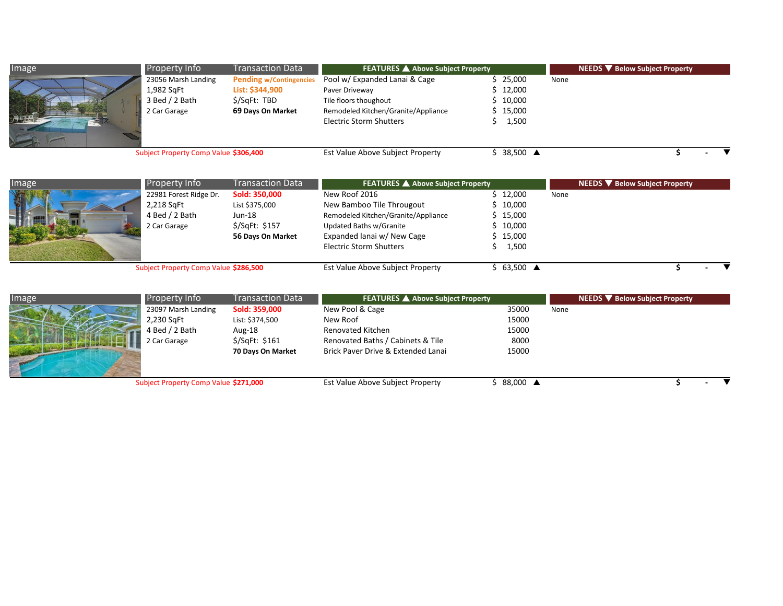| Image | <b>Property Info</b>                                                | <b>Transaction Data</b>                                                                | <b>FEATURES</b> ▲ Above Subject Property                                                                                                          |                                                       | NEEDS V Below Subject Property |
|-------|---------------------------------------------------------------------|----------------------------------------------------------------------------------------|---------------------------------------------------------------------------------------------------------------------------------------------------|-------------------------------------------------------|--------------------------------|
| 冷雨    | 23056 Marsh Landing<br>1,982 SqFt<br>3 Bed / 2 Bath<br>2 Car Garage | <b>Pending w/Contingencies</b><br>List: \$344,900<br>\$/SqFt: TBD<br>69 Days On Market | Pool w/ Expanded Lanai & Cage<br>Paver Driveway<br>Tile floors thoughout<br>Remodeled Kitchen/Granite/Appliance<br><b>Electric Storm Shutters</b> | \$25,000<br>\$12,000<br>\$10,000<br>\$15,000<br>1,500 | None                           |
|       | Subject Property Comp Value \$306,400                               |                                                                                        | Est Value Above Subject Property                                                                                                                  | \$ 38,500 <b>▲</b>                                    | $\blacksquare$                 |

| Image | <b>Property Info</b>                  | <b>Transaction Data</b> | FEATURES A Above Subject Property   |                      | NEEDS ▼ Below Subject Property |
|-------|---------------------------------------|-------------------------|-------------------------------------|----------------------|--------------------------------|
|       | 22981 Forest Ridge Dr.                | Sold: 350,000           | New Roof 2016                       | \$12,000             | None                           |
|       | 2,218 SqFt                            | List \$375,000          | New Bamboo Tile Througout           | $5\quad10,000$       |                                |
|       | 4 Bed / 2 Bath                        | Jun-18                  | Remodeled Kitchen/Granite/Appliance | \$15,000             |                                |
|       | 2 Car Garage                          | $$$ /SqFt: \$157        | Updated Baths w/Granite             | 10,000               |                                |
|       |                                       | 56 Days On Market       | Expanded lanai w/ New Cage          | \$15,000             |                                |
|       |                                       |                         | <b>Electric Storm Shutters</b>      | 1,500                |                                |
|       |                                       |                         |                                     |                      |                                |
|       | Subject Property Comp Value \$286,500 |                         | Est Value Above Subject Property    | $63,500$ $\triangle$ |                                |

| Image | <b>Property Info</b>                  | Transaction Data  | <b>FEATURES A Above Subject Property</b> |          | NEEDS ▼ Below Subject Property |
|-------|---------------------------------------|-------------------|------------------------------------------|----------|--------------------------------|
|       | 23097 Marsh Landing                   | Sold: 359,000     | New Pool & Cage                          | 35000    | None                           |
|       | 2,230 SqFt                            | List: \$374,500   | New Roof                                 | 15000    |                                |
|       | 4 Bed $/$ 2 Bath                      | Aug-18            | Renovated Kitchen                        | 15000    |                                |
|       | 2 Car Garage                          | $$$ /SqFt: \$161  | Renovated Baths / Cabinets & Tile        | 8000     |                                |
|       |                                       | 70 Days On Market | Brick Paver Drive & Extended Lanai       | 15000    |                                |
|       | Subject Property Comp Value \$271,000 |                   | Est Value Above Subject Property         | 88,000 ▲ |                                |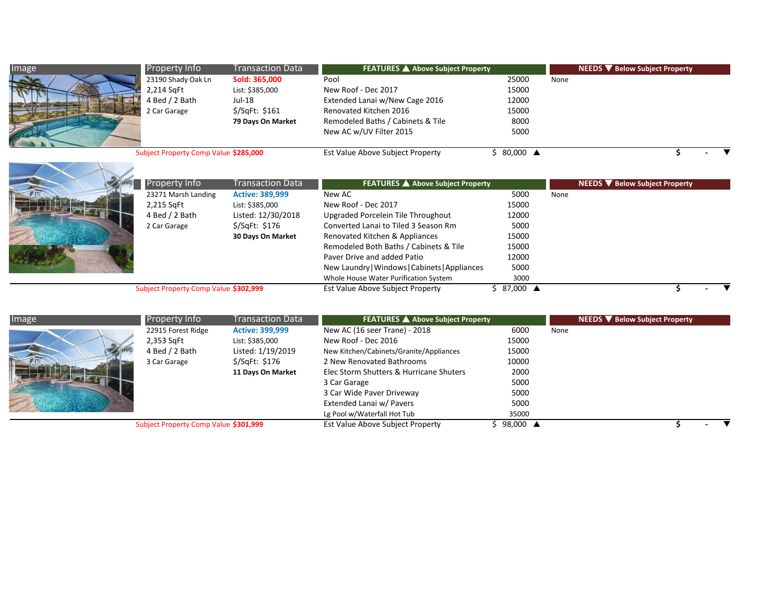| Image | <b>Property Info</b>                  | <b>Transaction Data</b> | <b>FEATURES</b> ▲ Above Subject Property |          | NEEDS ▼ Below Subject Property |
|-------|---------------------------------------|-------------------------|------------------------------------------|----------|--------------------------------|
|       | 23190 Shady Oak Ln                    | Sold: 365,000           | Pool                                     | 25000    | None                           |
|       | 2,214 SqFt                            | List: \$385,000         | New Roof - Dec 2017                      | 15000    |                                |
|       | 4 Bed $/$ 2 Bath                      | Jul-18                  | Extended Lanai w/New Cage 2016           | 12000    |                                |
|       | 2 Car Garage                          | $$$ /SqFt: \$161        | Renovated Kitchen 2016                   | 15000    |                                |
|       |                                       | 79 Days On Market       | Remodeled Baths / Cabinets & Tile        | 8000     |                                |
|       |                                       |                         | New AC w/UV Filter 2015                  | 5000     |                                |
|       |                                       |                         |                                          |          |                                |
|       | Subject Property Comp Value \$285,000 |                         | Est Value Above Subject Property         | 80,000 ▲ |                                |



| <b>Property Info</b>                  | Transaction Data       | <b>FEATURES</b> ▲ Above Subject Property      |                       | NEEDS ▼ Below Subject Property |
|---------------------------------------|------------------------|-----------------------------------------------|-----------------------|--------------------------------|
| 23271 Marsh Landing                   | <b>Active: 389,999</b> | New AC                                        | 5000                  | None                           |
| 2,215 SqFt                            | List: \$385,000        | New Roof - Dec 2017                           | 15000                 |                                |
| 4 Bed $/$ 2 Bath                      | Listed: 12/30/2018     | Upgraded Porcelein Tile Throughout            | 12000                 |                                |
| 2 Car Garage                          | $$$ /SqFt: \$176       | Converted Lanai to Tiled 3 Season Rm          | 5000                  |                                |
|                                       | 30 Days On Market      | Renovated Kitchen & Appliances                | 15000                 |                                |
|                                       |                        | Remodeled Both Baths / Cabinets & Tile        | 15000                 |                                |
|                                       |                        | Paver Drive and added Patio                   | 12000                 |                                |
|                                       |                        | New Laundry   Windows   Cabinets   Appliances | 5000                  |                                |
|                                       |                        | Whole House Water Purification System         | 3000                  |                                |
| Subject Property Comp Value \$302,999 |                        | Est Value Above Subject Property              | $587,000$ $\triangle$ |                                |

| Image | <b>Property Info</b>                  | <b>Transaction Data</b> | <b>FEATURES</b> ▲ Above Subject Property |          | <b>NEEDS V</b> Below Subject Property |
|-------|---------------------------------------|-------------------------|------------------------------------------|----------|---------------------------------------|
|       | 22915 Forest Ridge                    | <b>Active: 399,999</b>  | New AC (16 seer Trane) - 2018            | 6000     | None                                  |
|       | 2,353 SqFt                            | List: \$385,000         | New Roof - Dec 2016                      | 15000    |                                       |
|       | 4 Bed / 2 Bath                        | Listed: 1/19/2019       | New Kitchen/Cabinets/Granite/Appliances  | 15000    |                                       |
|       | 3 Car Garage                          | \$/SqFt: \$176          | 2 New Renovated Bathrooms                | 10000    |                                       |
|       |                                       | 11 Days On Market       | Elec Storm Shutters & Hurricane Shuters  | 2000     |                                       |
|       |                                       |                         | 3 Car Garage                             | 5000     |                                       |
|       |                                       |                         | 3 Car Wide Paver Driveway                | 5000     |                                       |
|       |                                       |                         | Extended Lanai w/ Pavers                 | 5000     |                                       |
|       |                                       |                         | Lg Pool w/Waterfall Hot Tub              | 35000    |                                       |
|       | Subject Property Comp Value \$301,999 |                         | Est Value Above Subject Property         | 98,000 ▲ |                                       |